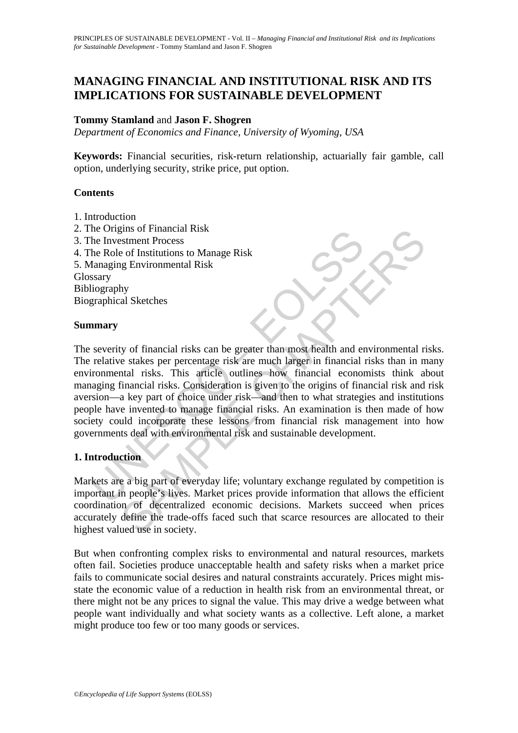# **MANAGING FINANCIAL AND INSTITUTIONAL RISK AND ITS IMPLICATIONS FOR SUSTAINABLE DEVELOPMENT**

## **Tommy Stamland** and **Jason F. Shogren**

*Department of Economics and Finance, University of Wyoming, USA* 

**Keywords:** Financial securities, risk-return relationship, actuarially fair gamble, call option, underlying security, strike price, put option.

### **Contents**

- 1. Introduction
- 2. The Origins of Financial Risk
- 3. The Investment Process
- 4. The Role of Institutions to Manage Risk

5. Managing Environmental Risk Glossary Bibliography

Biographical Sketches

### **Summary**

The Investment Process<br>
the Role of Institutions to Manage Risk<br>
flangging Environmental Risk<br>
stary<br>
ilography<br>
stary<br>
stary<br>
stary<br>
ilography<br>
graphical Sketches<br> **mary**<br>
severity of financial risks can be greater than m This of Financial Risk<br>
Sestment Process<br>
of Institutions to Manage Risk<br>
ny<br>
hy<br>
hy<br>
hy<br>
al Sketches<br>
hy<br>
ty of financial risks can be greater than most health and environmental ri<br>
hat it isks. This article outlines how The severity of financial risks can be greater than most health and environmental risks. The relative stakes per percentage risk are much larger in financial risks than in many environmental risks. This article outlines how financial economists think about managing financial risks. Consideration is given to the origins of financial risk and risk aversion—a key part of choice under risk—and then to what strategies and institutions people have invented to manage financial risks. An examination is then made of how society could incorporate these lessons from financial risk management into how governments deal with environmental risk and sustainable development.

## **1. Introduction**

Markets are a big part of everyday life; voluntary exchange regulated by competition is important in people's lives. Market prices provide information that allows the efficient coordination of decentralized economic decisions. Markets succeed when prices accurately define the trade-offs faced such that scarce resources are allocated to their highest valued use in society.

But when confronting complex risks to environmental and natural resources, markets often fail. Societies produce unacceptable health and safety risks when a market price fails to communicate social desires and natural constraints accurately. Prices might misstate the economic value of a reduction in health risk from an environmental threat, or there might not be any prices to signal the value. This may drive a wedge between what people want individually and what society wants as a collective. Left alone, a market might produce too few or too many goods or services.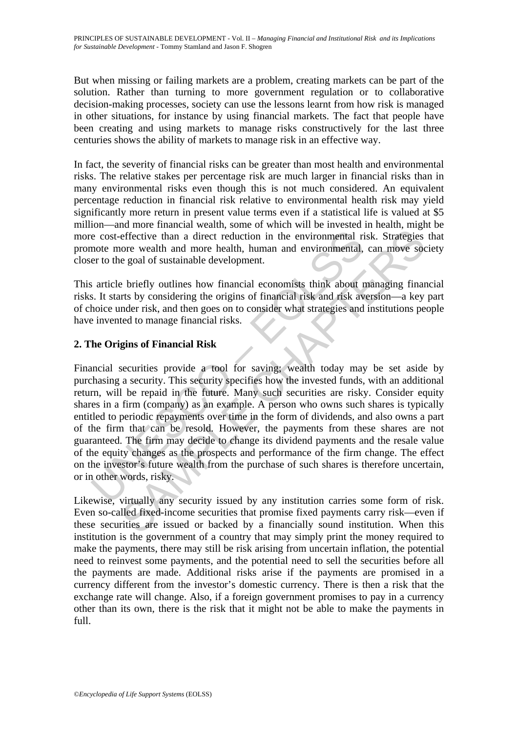But when missing or failing markets are a problem, creating markets can be part of the solution. Rather than turning to more government regulation or to collaborative decision-making processes, society can use the lessons learnt from how risk is managed in other situations, for instance by using financial markets. The fact that people have been creating and using markets to manage risks constructively for the last three centuries shows the ability of markets to manage risk in an effective way.

In fact, the severity of financial risks can be greater than most health and environmental risks. The relative stakes per percentage risk are much larger in financial risks than in many environmental risks even though this is not much considered. An equivalent percentage reduction in financial risk relative to environmental health risk may yield significantly more return in present value terms even if a statistical life is valued at \$5 million—and more financial wealth, some of which will be invested in health, might be more cost-effective than a direct reduction in the environmental risk. Strategies that promote more wealth and more health, human and environmental, can move society closer to the goal of sustainable development.

This article briefly outlines how financial economists think about managing financial risks. It starts by considering the origins of financial risk and risk aversion—a key part of choice under risk, and then goes on to consider what strategies and institutions people have invented to manage financial risks.

## **2. The Origins of Financial Risk**

e cost-effective than a direct reduction in the environmental rimote more wealth and more health, human and environmental, er to the goal of sustainable development.<br>
sa raticle briefly outlines how financial economists th effective than a direct reduction in the environmental risk. Strategies<br>ore wealth and more health, human and environmental risk. Strategies<br>ore wealth and more health, human and environmental, can move soe<br>e goal of susta Financial securities provide a tool for saving; wealth today may be set aside by purchasing a security. This security specifies how the invested funds, with an additional return, will be repaid in the future. Many such securities are risky. Consider equity shares in a firm (company) as an example. A person who owns such shares is typically entitled to periodic repayments over time in the form of dividends, and also owns a part of the firm that can be resold. However, the payments from these shares are not guaranteed. The firm may decide to change its dividend payments and the resale value of the equity changes as the prospects and performance of the firm change. The effect on the investor's future wealth from the purchase of such shares is therefore uncertain, or in other words, risky.

Likewise, virtually any security issued by any institution carries some form of risk. Even so-called fixed-income securities that promise fixed payments carry risk—even if these securities are issued or backed by a financially sound institution. When this institution is the government of a country that may simply print the money required to make the payments, there may still be risk arising from uncertain inflation, the potential need to reinvest some payments, and the potential need to sell the securities before all the payments are made. Additional risks arise if the payments are promised in a currency different from the investor's domestic currency. There is then a risk that the exchange rate will change. Also, if a foreign government promises to pay in a currency other than its own, there is the risk that it might not be able to make the payments in full.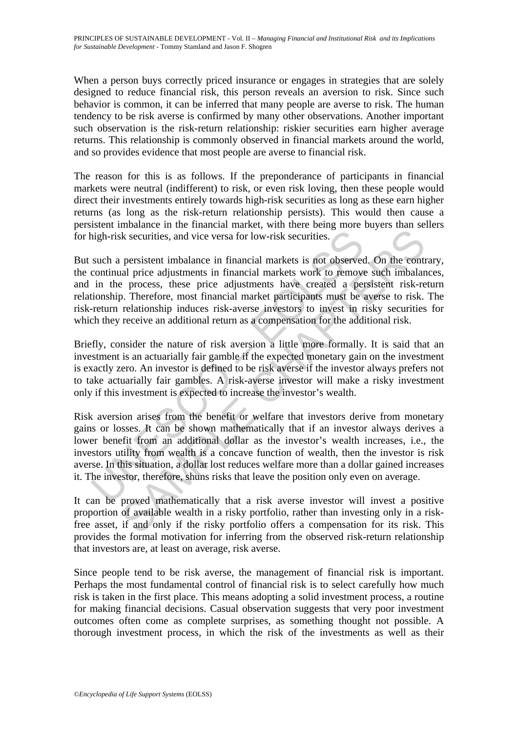When a person buys correctly priced insurance or engages in strategies that are solely designed to reduce financial risk, this person reveals an aversion to risk. Since such behavior is common, it can be inferred that many people are averse to risk. The human tendency to be risk averse is confirmed by many other observations. Another important such observation is the risk-return relationship: riskier securities earn higher average returns. This relationship is commonly observed in financial markets around the world, and so provides evidence that most people are averse to financial risk.

The reason for this is as follows. If the preponderance of participants in financial markets were neutral (indifferent) to risk, or even risk loving, then these people would direct their investments entirely towards high-risk securities as long as these earn higher returns (as long as the risk-return relationship persists). This would then cause a persistent imbalance in the financial market, with there being more buyers than sellers for high-risk securities, and vice versa for low-risk securities.

But such a persistent imbalance in financial markets is not observed. On the contrary, the continual price adjustments in financial markets work to remove such imbalances, and in the process, these price adjustments have created a persistent risk-return relationship. Therefore, most financial market participants must be averse to risk. The risk-return relationship induces risk-averse investors to invest in risky securities for which they receive an additional return as a compensation for the additional risk.

Briefly, consider the nature of risk aversion a little more formally. It is said that an investment is an actuarially fair gamble if the expected monetary gain on the investment is exactly zero. An investor is defined to be risk averse if the investor always prefers not to take actuarially fair gambles. A risk-averse investor will make a risky investment only if this investment is expected to increase the investor's wealth.

high-risk securities, and vice versa for low-risk securities.<br>
such a persistent imbalance in financial markets is not observe<br>
continual price adjustments in financial markets work to remove<br>
in the process, these price a is securities, and vice versa for low-risk securities.<br>
persistent imbalance in financial markets is not observed. On the control present imbalance in financial markets work to remove such imbalance process, these price ad Risk aversion arises from the benefit or welfare that investors derive from monetary gains or losses. It can be shown mathematically that if an investor always derives a lower benefit from an additional dollar as the investor's wealth increases, i.e., the investors utility from wealth is a concave function of wealth, then the investor is risk averse. In this situation, a dollar lost reduces welfare more than a dollar gained increases it. The investor, therefore, shuns risks that leave the position only even on average.

It can be proved mathematically that a risk averse investor will invest a positive proportion of available wealth in a risky portfolio, rather than investing only in a riskfree asset, if and only if the risky portfolio offers a compensation for its risk. This provides the formal motivation for inferring from the observed risk-return relationship that investors are, at least on average, risk averse.

Since people tend to be risk averse, the management of financial risk is important. Perhaps the most fundamental control of financial risk is to select carefully how much risk is taken in the first place. This means adopting a solid investment process, a routine for making financial decisions. Casual observation suggests that very poor investment outcomes often come as complete surprises, as something thought not possible. A thorough investment process, in which the risk of the investments as well as their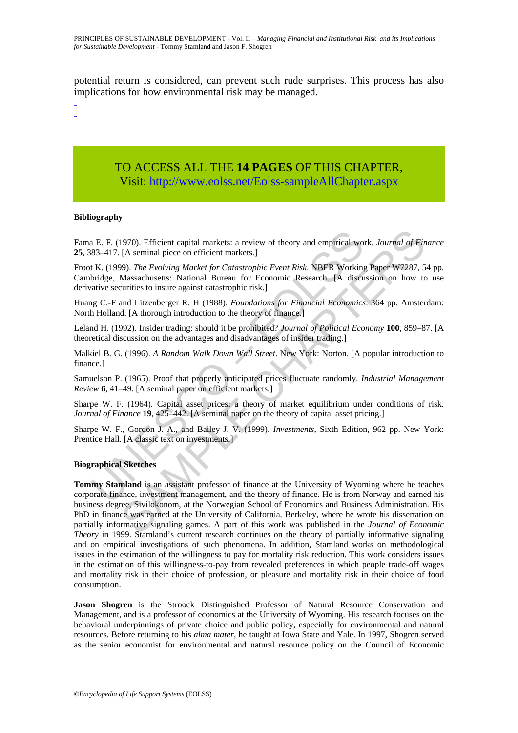potential return is considered, can prevent such rude surprises. This process has also implications for how environmental risk may be managed.

- -

-

TO ACCESS ALL THE **14 PAGES** OF THIS CHAPTER, Visit[: http://www.eolss.net/Eolss-sampleAllChapter.aspx](https://www.eolss.net/ebooklib/sc_cart.aspx?File=E1-46A-04-03)

#### **Bibliography**

Fama E. F. (1970). Efficient capital markets: a review of theory and empirical work. *Journal of Finance*  **25**, 383–417. [A seminal piece on efficient markets.]

a E. F. (1970). Efficient capital markets: a review of theory and empirical words3-417. [A seminal piece on efficient markets.]<br>t K. (1999). *The Evolving Market for Catastrophic Event Risk*. NBER Working<br>bridge, Massachus Froot K. (1999). *The Evolving Market for Catastrophic Event Risk*. NBER Working Paper W7287, 54 pp. Cambridge, Massachusetts: National Bureau for Economic Research. [A discussion on how to use derivative securities to insure against catastrophic risk.]

Huang C.-F and Litzenberger R. H (1988). *Foundations for Financial Economics*. 364 pp. Amsterdam: North Holland. [A thorough introduction to the theory of finance.]

Leland H. (1992). Insider trading: should it be prohibited? *Journal of Political Economy* **100**, 859–87. [A theoretical discussion on the advantages and disadvantages of insider trading.]

Malkiel B. G. (1996). *A Random Walk Down Wall Street*. New York: Norton. [A popular introduction to finance.]

Samuelson P. (1965). Proof that properly anticipated prices fluctuate randomly. *Industrial Management Review* **6**, 41–49. [A seminal paper on efficient markets.]

Sharpe W. F. (1964). Capital asset prices: a theory of market equilibrium under conditions of risk. *Journal of Finance* **19**, 425–442. [A seminal paper on the theory of capital asset pricing.]

Sharpe W. F., Gordon J. A., and Bailey J. V. (1999). *Investments*, Sixth Edition, 962 pp. New York: Prentice Hall. [A classic text on investments.]

#### **Biographical Sketches**

1970). Efficient capital markets: a review of theory and empirical work. Journal of Fin [A seminal piece on efficient markets.]<br>
(A seminal piece on efficient markets.]<br>
(A seminal piece on efficient markets.]<br>
Massachuse **Tommy Stamland** is an assistant professor of finance at the University of Wyoming where he teaches corporate finance, investment management, and the theory of finance. He is from Norway and earned his business degree, Sivilokonom, at the Norwegian School of Economics and Business Administration. His PhD in finance was earned at the University of California, Berkeley, where he wrote his dissertation on partially informative signaling games. A part of this work was published in the *Journal of Economic Theory* in 1999. Stamland's current research continues on the theory of partially informative signaling and on empirical investigations of such phenomena. In addition, Stamland works on methodological issues in the estimation of the willingness to pay for mortality risk reduction. This work considers issues in the estimation of this willingness-to-pay from revealed preferences in which people trade-off wages and mortality risk in their choice of profession, or pleasure and mortality risk in their choice of food consumption.

**Jason Shogren** is the Stroock Distinguished Professor of Natural Resource Conservation and Management, and is a professor of economics at the University of Wyoming. His research focuses on the behavioral underpinnings of private choice and public policy, especially for environmental and natural resources. Before returning to his *alma mater*, he taught at Iowa State and Yale. In 1997, Shogren served as the senior economist for environmental and natural resource policy on the Council of Economic